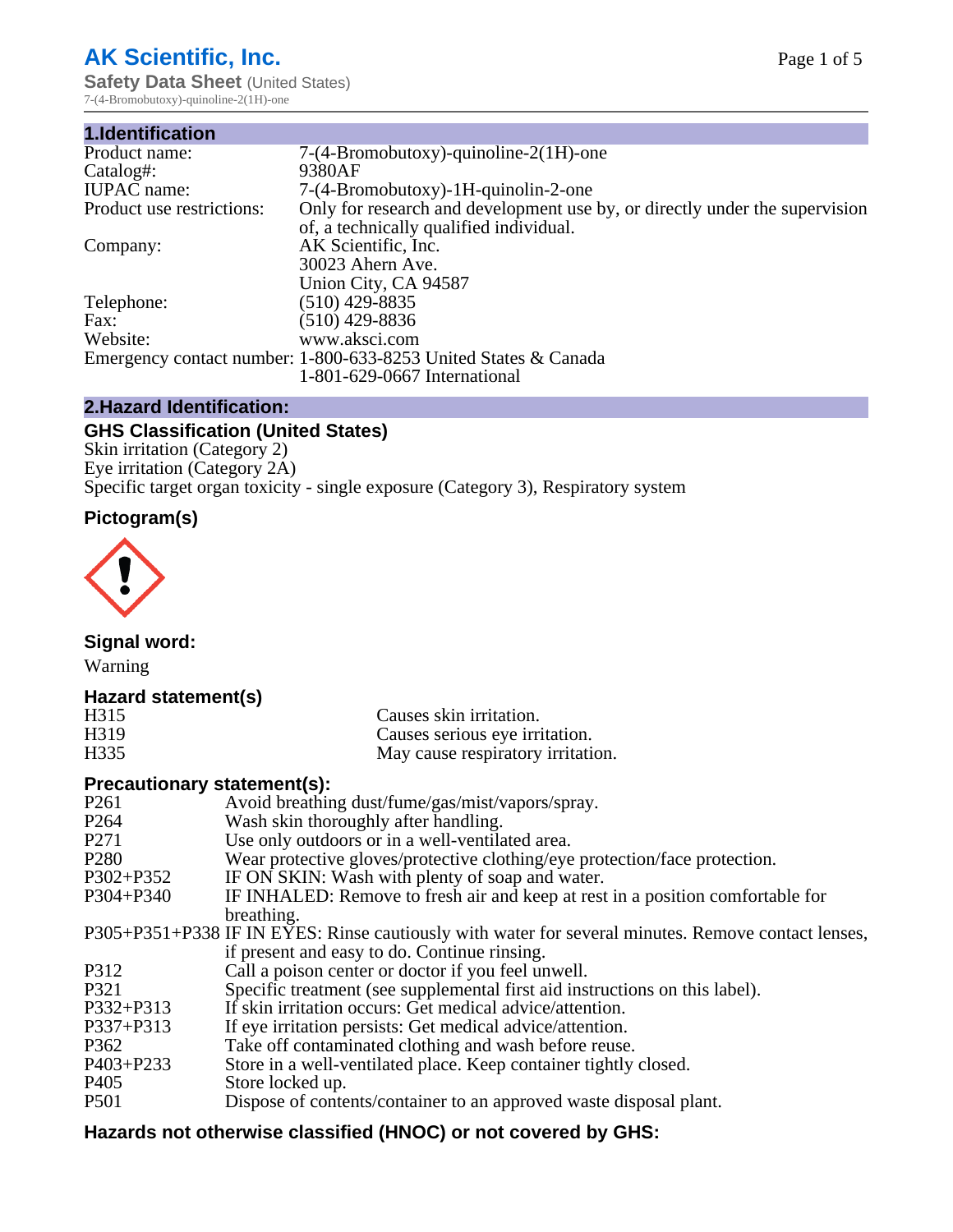# **AK Scientific, Inc.**

**Safety Data Sheet (United States)** 7-(4-Bromobutoxy)-quinoline-2(1H)-one

| 1.Identification          |                                                                             |
|---------------------------|-----------------------------------------------------------------------------|
| Product name:             | $7-(4-Bromobutoxy)$ -quinoline- $2(1H)$ -one                                |
| Catalog#:                 | 9380AF                                                                      |
| <b>IUPAC</b> name:        | 7-(4-Bromobutoxy)-1H-quinolin-2-one                                         |
| Product use restrictions: | Only for research and development use by, or directly under the supervision |
|                           | of, a technically qualified individual.                                     |
| Company:                  | AK Scientific, Inc.                                                         |
|                           | 30023 Ahern Ave.                                                            |
|                           | Union City, CA 94587                                                        |
| Telephone:                | $(510)$ 429-8835                                                            |
| Fax:                      | (510) 429-8836                                                              |
| Website:                  | www.aksci.com                                                               |
|                           | Emergency contact number: 1-800-633-8253 United States & Canada             |
|                           | 1-801-629-0667 International                                                |

# **2.Hazard Identification:**

# **GHS Classification (United States)**

Skin irritation (Category 2) Eye irritation (Category 2A) Specific target organ toxicity - single exposure (Category 3), Respiratory system

# **Pictogram(s)**



**Signal word:**

Warning

# **Hazard statement(s)**

| H315 | Causes skin irritation.           |
|------|-----------------------------------|
| H319 | Causes serious eye irritation.    |
| H335 | May cause respiratory irritation. |

# **Precautionary statement(s):**

| P <sub>261</sub> | Avoid breathing dust/fume/gas/mist/vapors/spray.                                                   |
|------------------|----------------------------------------------------------------------------------------------------|
| P <sub>264</sub> | Wash skin thoroughly after handling.                                                               |
| P <sub>271</sub> | Use only outdoors or in a well-ventilated area.                                                    |
| P <sub>280</sub> | Wear protective gloves/protective clothing/eye protection/face protection.                         |
| P302+P352        | IF ON SKIN: Wash with plenty of soap and water.                                                    |
| $P304 + P340$    | IF INHALED: Remove to fresh air and keep at rest in a position comfortable for                     |
|                  | breathing.                                                                                         |
|                  | P305+P351+P338 IF IN EYES: Rinse cautiously with water for several minutes. Remove contact lenses, |
|                  | if present and easy to do. Continue rinsing.                                                       |
| P312             | Call a poison center or doctor if you feel unwell.                                                 |
| P321             | Specific treatment (see supplemental first aid instructions on this label).                        |
| P332+P313        | If skin irritation occurs: Get medical advice/attention.                                           |
| P337+P313        | If eye irritation persists: Get medical advice/attention.                                          |
| P362             | Take off contaminated clothing and wash before reuse.                                              |
| P403+P233        | Store in a well-ventilated place. Keep container tightly closed.                                   |
| P <sub>405</sub> | Store locked up.                                                                                   |
| P <sub>501</sub> | Dispose of contents/container to an approved waste disposal plant.                                 |
|                  |                                                                                                    |

# **Hazards not otherwise classified (HNOC) or not covered by GHS:**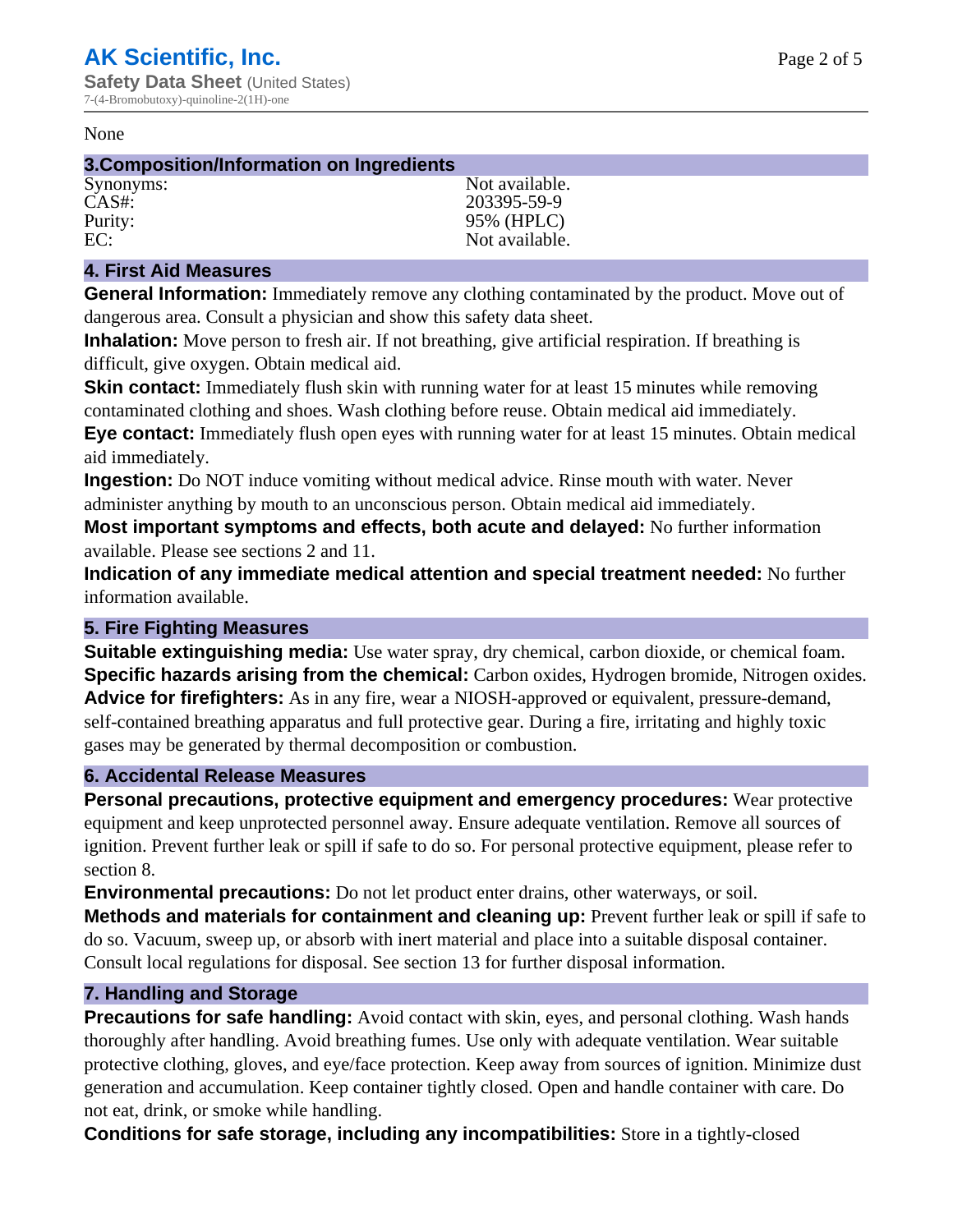#### None

#### **3.Composition/Information on Ingredients**

Synonyms: Not available. CAS#: 203395-59-9 Purity: 95% (HPLC)<br>EC: Not available Not available.

# **4. First Aid Measures**

**General Information:** Immediately remove any clothing contaminated by the product. Move out of dangerous area. Consult a physician and show this safety data sheet.

**Inhalation:** Move person to fresh air. If not breathing, give artificial respiration. If breathing is difficult, give oxygen. Obtain medical aid.

**Skin contact:** Immediately flush skin with running water for at least 15 minutes while removing contaminated clothing and shoes. Wash clothing before reuse. Obtain medical aid immediately. **Eye contact:** Immediately flush open eyes with running water for at least 15 minutes. Obtain medical aid immediately.

**Ingestion:** Do NOT induce vomiting without medical advice. Rinse mouth with water. Never administer anything by mouth to an unconscious person. Obtain medical aid immediately.

**Most important symptoms and effects, both acute and delayed:** No further information available. Please see sections 2 and 11.

**Indication of any immediate medical attention and special treatment needed:** No further information available.

# **5. Fire Fighting Measures**

**Suitable extinguishing media:** Use water spray, dry chemical, carbon dioxide, or chemical foam. **Specific hazards arising from the chemical:** Carbon oxides, Hydrogen bromide, Nitrogen oxides. **Advice for firefighters:** As in any fire, wear a NIOSH-approved or equivalent, pressure-demand, self-contained breathing apparatus and full protective gear. During a fire, irritating and highly toxic gases may be generated by thermal decomposition or combustion.

# **6. Accidental Release Measures**

**Personal precautions, protective equipment and emergency procedures:** Wear protective equipment and keep unprotected personnel away. Ensure adequate ventilation. Remove all sources of ignition. Prevent further leak or spill if safe to do so. For personal protective equipment, please refer to section 8.

**Environmental precautions:** Do not let product enter drains, other waterways, or soil.

**Methods and materials for containment and cleaning up:** Prevent further leak or spill if safe to do so. Vacuum, sweep up, or absorb with inert material and place into a suitable disposal container. Consult local regulations for disposal. See section 13 for further disposal information.

# **7. Handling and Storage**

**Precautions for safe handling:** Avoid contact with skin, eyes, and personal clothing. Wash hands thoroughly after handling. Avoid breathing fumes. Use only with adequate ventilation. Wear suitable protective clothing, gloves, and eye/face protection. Keep away from sources of ignition. Minimize dust generation and accumulation. Keep container tightly closed. Open and handle container with care. Do not eat, drink, or smoke while handling.

**Conditions for safe storage, including any incompatibilities:** Store in a tightly-closed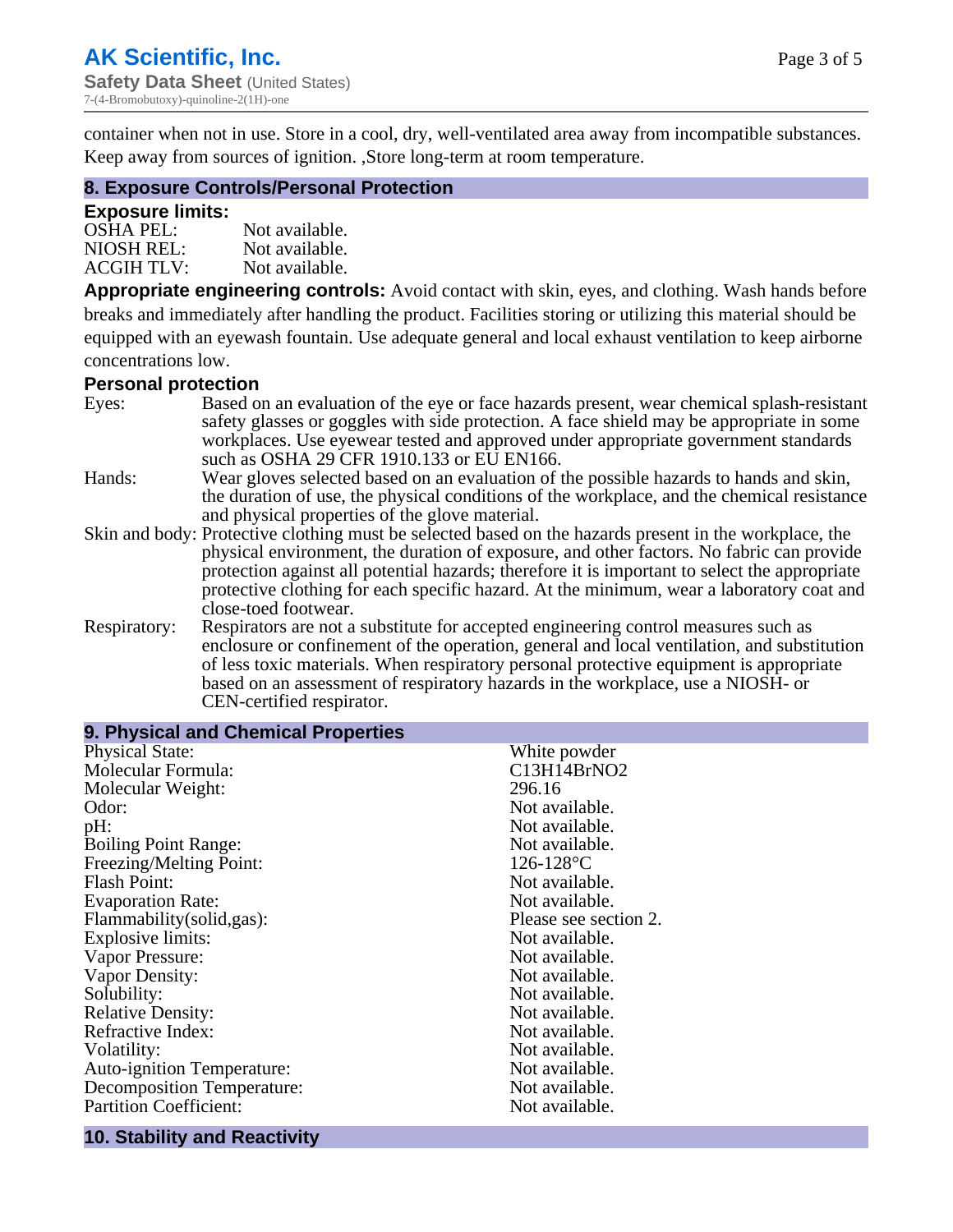Page 3 of 5

container when not in use. Store in a cool, dry, well-ventilated area away from incompatible substances. Keep away from sources of ignition. ,Store long-term at room temperature.

# **8. Exposure Controls/Personal Protection**

#### **Exposure limits:**

| <b>OSHA PEL:</b>  | Not available. |
|-------------------|----------------|
| NIOSH REL:        | Not available. |
| <b>ACGIH TLV:</b> | Not available. |

**Appropriate engineering controls:** Avoid contact with skin, eyes, and clothing. Wash hands before breaks and immediately after handling the product. Facilities storing or utilizing this material should be equipped with an eyewash fountain. Use adequate general and local exhaust ventilation to keep airborne concentrations low.

#### **Personal protection**

| Eyes:        | Based on an evaluation of the eye or face hazards present, wear chemical splash-resistant<br>safety glasses or goggles with side protection. A face shield may be appropriate in some                                                                                      |
|--------------|----------------------------------------------------------------------------------------------------------------------------------------------------------------------------------------------------------------------------------------------------------------------------|
|              | workplaces. Use eyewear tested and approved under appropriate government standards<br>such as OSHA 29 CFR 1910.133 or EU EN166.                                                                                                                                            |
| Hands:       | Wear gloves selected based on an evaluation of the possible hazards to hands and skin,                                                                                                                                                                                     |
|              | the duration of use, the physical conditions of the workplace, and the chemical resistance<br>and physical properties of the glove material.                                                                                                                               |
|              | Skin and body: Protective clothing must be selected based on the hazards present in the workplace, the                                                                                                                                                                     |
|              | physical environment, the duration of exposure, and other factors. No fabric can provide<br>protection against all potential hazards; therefore it is important to select the appropriate                                                                                  |
|              | protective clothing for each specific hazard. At the minimum, wear a laboratory coat and<br>close-toed footwear.                                                                                                                                                           |
| Respiratory: | Respirators are not a substitute for accepted engineering control measures such as<br>enclosure or confinement of the operation, general and local ventilation, and substitution<br>of less toxic materials. When respiratory personal protective equipment is appropriate |
|              | based on an assessment of respiratory hazards in the workplace, use a NIOSH- or                                                                                                                                                                                            |
|              | CEN-certified respirator.                                                                                                                                                                                                                                                  |

| 9. Physical and Chemical Properties |                       |
|-------------------------------------|-----------------------|
| <b>Physical State:</b>              | White powder          |
| Molecular Formula:                  | C13H14BrNO2           |
| Molecular Weight:                   | 296.16                |
| Odor:                               | Not available.        |
| pH:                                 | Not available.        |
| <b>Boiling Point Range:</b>         | Not available.        |
| Freezing/Melting Point:             | $126 - 128$ °C        |
| <b>Flash Point:</b>                 | Not available.        |
| <b>Evaporation Rate:</b>            | Not available.        |
| Flammability(solid,gas):            | Please see section 2. |
| <b>Explosive limits:</b>            | Not available.        |
| Vapor Pressure:                     | Not available.        |
| Vapor Density:                      | Not available.        |
| Solubility:                         | Not available.        |
| <b>Relative Density:</b>            | Not available.        |
| Refractive Index:                   | Not available.        |
| Volatility:                         | Not available.        |
| <b>Auto-ignition Temperature:</b>   | Not available.        |
| <b>Decomposition Temperature:</b>   | Not available.        |
| <b>Partition Coefficient:</b>       | Not available.        |

#### **10. Stability and Reactivity**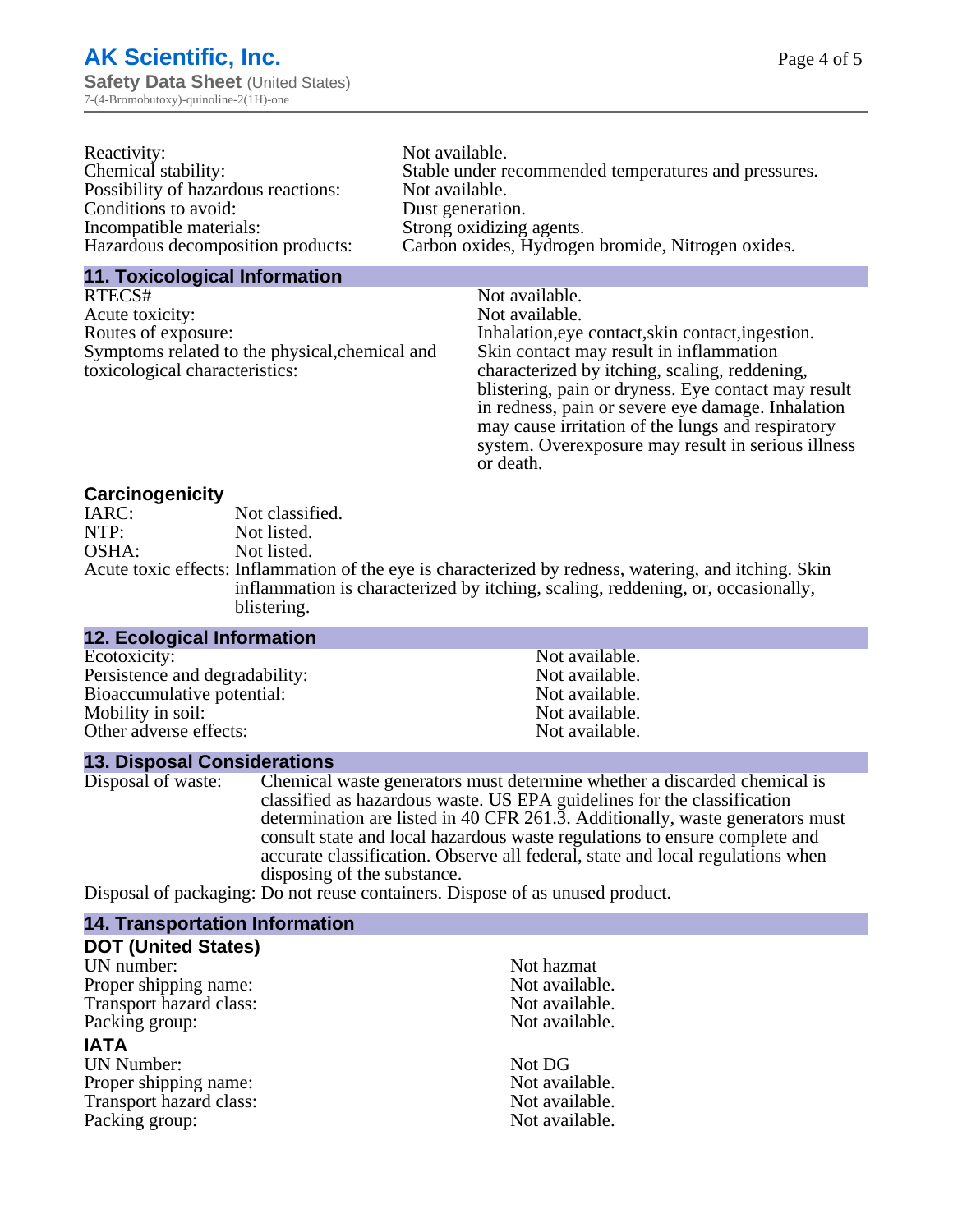| Reactivity:                         | Not available.                                       |
|-------------------------------------|------------------------------------------------------|
| Chemical stability:                 | Stable under recommended temperatures and pressures. |
| Possibility of hazardous reactions: | Not available.                                       |
| Conditions to avoid:                | Dust generation.                                     |
| Incompatible materials:             | Strong oxidizing agents.                             |
| Hazardous decomposition products:   | Carbon oxides, Hydrogen bromide, Nitrogen oxides.    |

#### **11. Toxicological Information**

| RTECS#                                         | Not available.                                      |
|------------------------------------------------|-----------------------------------------------------|
| Acute toxicity:                                | Not available.                                      |
| Routes of exposure:                            | Inhalation, eye contact, skin contact, ingestion.   |
| Symptoms related to the physical, chemical and | Skin contact may result in inflammation             |
| toxicological characteristics:                 | characterized by itching, scaling, reddening,       |
|                                                | blistering, pain or dryness. Eye contact may result |
|                                                | in redness, pain or severe eye damage. Inhalation   |
|                                                | may cause irritation of the lungs and respiratory   |
|                                                | system. Overexposure may result in serious illness  |

or death.

#### **Carcinogenicity**

| IARC: | Not classified.                                                                                       |
|-------|-------------------------------------------------------------------------------------------------------|
| NTP:  | Not listed.                                                                                           |
| OSHA: | Not listed.                                                                                           |
|       | Acute toxic effects: Inflammation of the eye is characterized by redness, watering, and itching. Skin |
|       | inflammation is characterized by itching, scaling, reddening, or, occasionally,                       |
|       | blistering.                                                                                           |

| <b>12. Ecological Information</b> |                |
|-----------------------------------|----------------|
| Ecotoxicity:                      | Not available. |
| Persistence and degradability:    | Not available. |
| Bioaccumulative potential:        | Not available. |
| Mobility in soil:                 | Not available. |
| Other adverse effects:            | Not available. |

#### **13. Disposal Considerations**

Disposal of waste: Chemical waste generators must determine whether a discarded chemical is classified as hazardous waste. US EPA guidelines for the classification determination are listed in 40 CFR 261.3. Additionally, waste generators must consult state and local hazardous waste regulations to ensure complete and accurate classification. Observe all federal, state and local regulations when disposing of the substance.

Disposal of packaging: Do not reuse containers. Dispose of as unused product.

| <b>14. Transportation Information</b> |                |
|---------------------------------------|----------------|
| <b>DOT (United States)</b>            |                |
| UN number:                            | Not hazmat     |
| Proper shipping name:                 | Not available. |
| Transport hazard class:               | Not available. |
| Packing group:                        | Not available. |
| <b>IATA</b>                           |                |
| <b>UN Number:</b>                     | Not DG         |
| Proper shipping name:                 | Not available. |
| Transport hazard class:               | Not available. |
| Packing group:                        | Not available. |